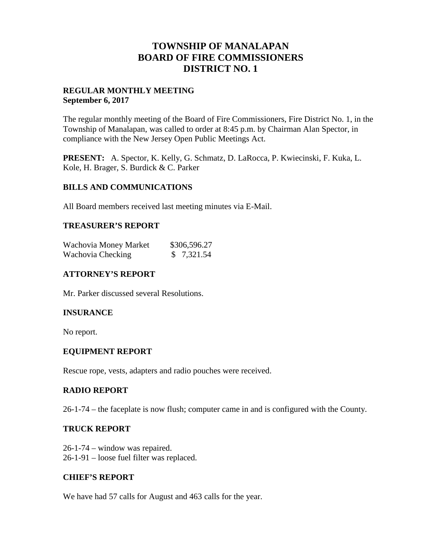## **TOWNSHIP OF MANALAPAN BOARD OF FIRE COMMISSIONERS DISTRICT NO. 1**

#### **REGULAR MONTHLY MEETING September 6, 2017**

The regular monthly meeting of the Board of Fire Commissioners, Fire District No. 1, in the Township of Manalapan, was called to order at 8:45 p.m. by Chairman Alan Spector, in compliance with the New Jersey Open Public Meetings Act.

**PRESENT:** A. Spector, K. Kelly, G. Schmatz, D. LaRocca, P. Kwiecinski, F. Kuka, L. Kole, H. Brager, S. Burdick & C. Parker

#### **BILLS AND COMMUNICATIONS**

All Board members received last meeting minutes via E-Mail.

#### **TREASURER'S REPORT**

| Wachovia Money Market | \$306,596.27 |
|-----------------------|--------------|
| Wachovia Checking     | \$7,321.54   |

#### **ATTORNEY'S REPORT**

Mr. Parker discussed several Resolutions.

## **INSURANCE**

No report.

## **EQUIPMENT REPORT**

Rescue rope, vests, adapters and radio pouches were received.

#### **RADIO REPORT**

26-1-74 – the faceplate is now flush; computer came in and is configured with the County.

#### **TRUCK REPORT**

26-1-74 – window was repaired. 26-1-91 – loose fuel filter was replaced.

#### **CHIEF'S REPORT**

We have had 57 calls for August and 463 calls for the year.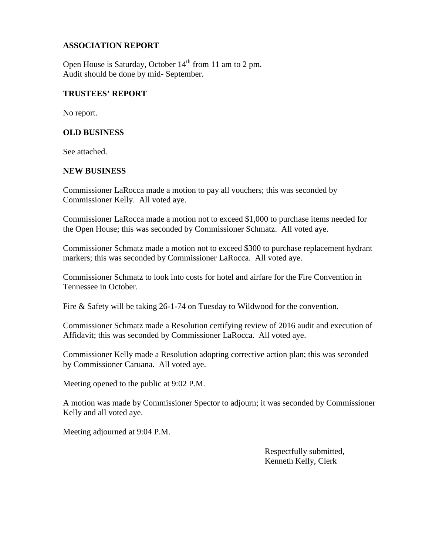#### **ASSOCIATION REPORT**

Open House is Saturday, October  $14<sup>th</sup>$  from 11 am to 2 pm. Audit should be done by mid- September.

#### **TRUSTEES' REPORT**

No report.

#### **OLD BUSINESS**

See attached.

#### **NEW BUSINESS**

Commissioner LaRocca made a motion to pay all vouchers; this was seconded by Commissioner Kelly. All voted aye.

Commissioner LaRocca made a motion not to exceed \$1,000 to purchase items needed for the Open House; this was seconded by Commissioner Schmatz. All voted aye.

Commissioner Schmatz made a motion not to exceed \$300 to purchase replacement hydrant markers; this was seconded by Commissioner LaRocca. All voted aye.

Commissioner Schmatz to look into costs for hotel and airfare for the Fire Convention in Tennessee in October.

Fire & Safety will be taking 26-1-74 on Tuesday to Wildwood for the convention.

Commissioner Schmatz made a Resolution certifying review of 2016 audit and execution of Affidavit; this was seconded by Commissioner LaRocca. All voted aye.

Commissioner Kelly made a Resolution adopting corrective action plan; this was seconded by Commissioner Caruana. All voted aye.

Meeting opened to the public at 9:02 P.M.

A motion was made by Commissioner Spector to adjourn; it was seconded by Commissioner Kelly and all voted aye.

Meeting adjourned at 9:04 P.M.

Respectfully submitted, Kenneth Kelly, Clerk